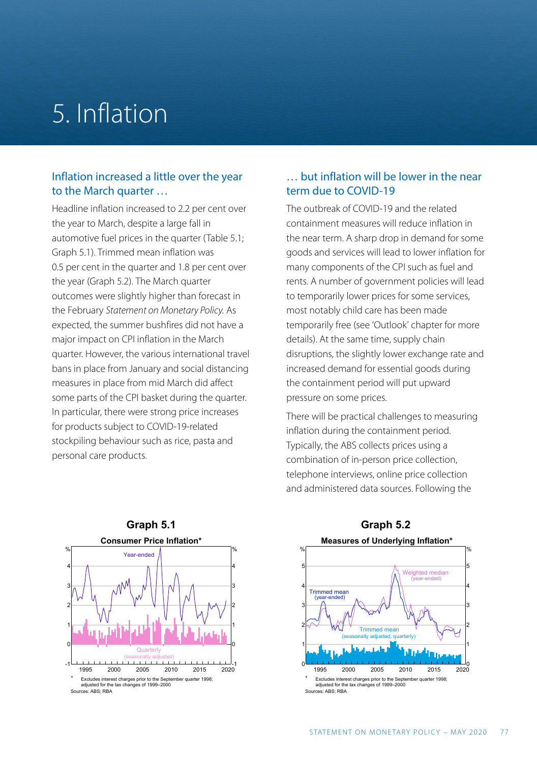## 5. Inflation

#### Inflation increased a little over the year to the March quarter …

Headline inflation increased to 2.2 per cent over the year to March, despite a large fall in automotive fuel prices in the quarter (Table 5.1; Graph 5.1). Trimmed mean inflation was 0.5 per cent in the quarter and 1.8 per cent over the year (Graph 5.2). The March quarter outcomes were slightly higher than forecast in the February *Statement on Monetary Policy.* As expected, the summer bushfires did not have a major impact on CPI inflation in the March quarter. However, the various international travel bans in place from January and social distancing measures in place from mid March did affect some parts of the CPI basket during the quarter. In particular, there were strong price increases for products subject to COVID-19-related stockpiling behaviour such as rice, pasta and personal care products.

#### … but inflation will be lower in the near term due to COVID-19

The outbreak of COVID-19 and the related containment measures will reduce inflation in the near term. A sharp drop in demand for some goods and services will lead to lower inflation for many components of the CPI such as fuel and rents. A number of government policies will lead to temporarily lower prices for some services, most notably child care has been made temporarily free (see 'Outlook' chapter for more details). At the same time, supply chain disruptions, the slightly lower exchange rate and increased demand for essential goods during the containment period will put upward pressure on some prices.

There will be practical challenges to measuring inflation during the containment period. Typically, the ABS collects prices using a combination of in-person price collection, telephone interviews, online price collection and administered data sources. Following the





## **Graph 5.2**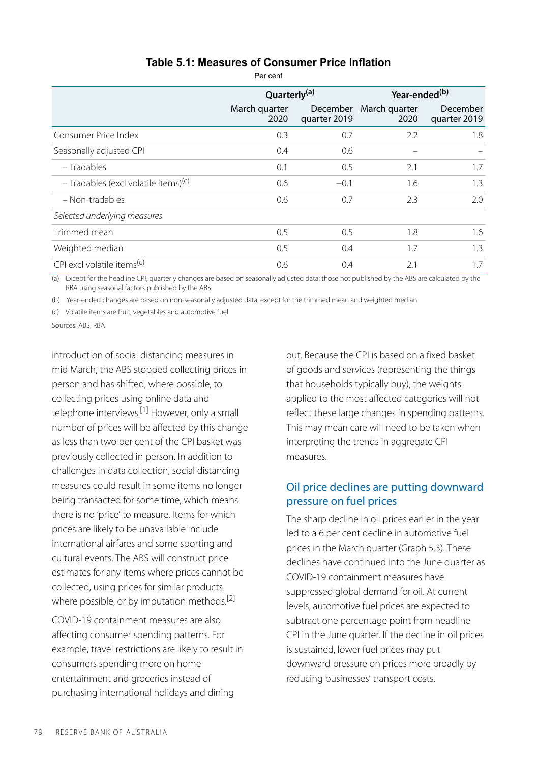#### **Table 5.1: Measures of Consumer Price Inflation**

Per cent

|                                                  | Quarterly <sup>(a)</sup> |                          | Year-ended <sup>(b)</sup> |                          |
|--------------------------------------------------|--------------------------|--------------------------|---------------------------|--------------------------|
|                                                  | March quarter<br>2020    | December<br>quarter 2019 | March quarter<br>2020     | December<br>quarter 2019 |
| Consumer Price Index                             | 0.3                      | 0.7                      | 2.2                       | 1.8                      |
| Seasonally adjusted CPI                          | 0.4                      | 0.6                      |                           |                          |
| - Tradables                                      | 0.1                      | 0.5                      | 2.1                       | 1.7                      |
| - Tradables (excl volatile items) <sup>(c)</sup> | 0.6                      | $-0.1$                   | 1.6                       | 1.3                      |
| - Non-tradables                                  | 0.6                      | 0.7                      | 2.3                       | 2.0                      |
| Selected underlying measures                     |                          |                          |                           |                          |
| Trimmed mean                                     | 0.5                      | 0.5                      | 1.8                       | 1.6                      |
| Weighted median                                  | 0.5                      | 0.4                      | 1.7                       | 1.3                      |
| CPI excl volatile items <sup>(c)</sup>           | 0.6                      | 0.4                      | 2.1                       | 1.7                      |

(a) Except for the headline CPI, quarterly changes are based on seasonally adjusted data; those not published by the ABS are calculated by the RBA using seasonal factors published by the ABS

(b) Year-ended changes are based on non-seasonally adjusted data, except for the trimmed mean and weighted median

(c) Volatile items are fruit, vegetables and automotive fuel

Sources: ABS; RBA

introduction of social distancing measures in mid March, the ABS stopped collecting prices in person and has shifted, where possible, to collecting prices using online data and telephone interviews.<sup>[1]</sup> However, only a small number of prices will be affected by this change as less than two per cent of the CPI basket was previously collected in person. In addition to challenges in data collection, social distancing measures could result in some items no longer being transacted for some time, which means there is no 'price' to measure. Items for which prices are likely to be unavailable include international airfares and some sporting and cultural events. The ABS will construct price estimates for any items where prices cannot be collected, using prices for similar products where possible, or by imputation methods.<sup>[2]</sup>

COVID-19 containment measures are also affecting consumer spending patterns. For example, travel restrictions are likely to result in consumers spending more on home entertainment and groceries instead of purchasing international holidays and dining

out. Because the CPI is based on a fixed basket of goods and services (representing the things that households typically buy), the weights applied to the most affected categories will not reflect these large changes in spending patterns. This may mean care will need to be taken when interpreting the trends in aggregate CPI measures.

#### Oil price declines are putting downward pressure on fuel prices

The sharp decline in oil prices earlier in the year led to a 6 per cent decline in automotive fuel prices in the March quarter (Graph 5.3). These declines have continued into the June quarter as COVID-19 containment measures have suppressed global demand for oil. At current levels, automotive fuel prices are expected to subtract one percentage point from headline CPI in the June quarter. If the decline in oil prices is sustained, lower fuel prices may put downward pressure on prices more broadly by reducing businesses' transport costs.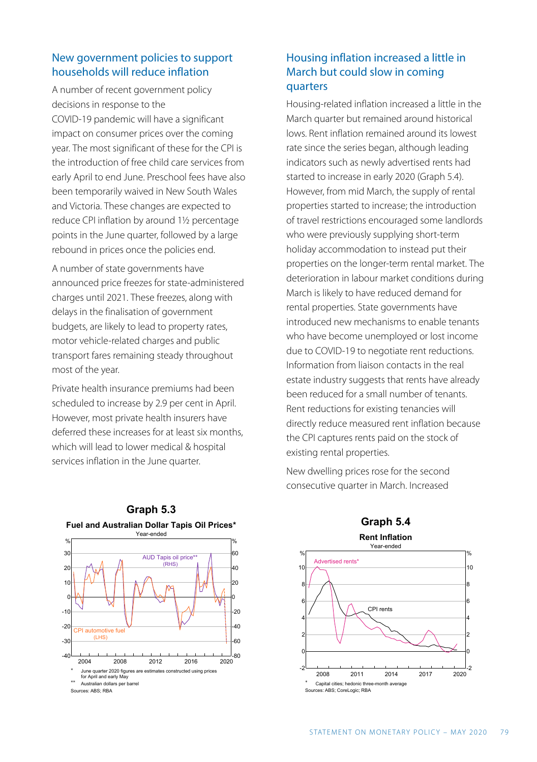#### New government policies to support households will reduce inflation

A number of recent government policy decisions in response to the COVID-19 pandemic will have a significant impact on consumer prices over the coming year. The most significant of these for the CPI is the introduction of free child care services from early April to end June. Preschool fees have also been temporarily waived in New South Wales and Victoria. These changes are expected to reduce CPI inflation by around 1½ percentage points in the June quarter, followed by a large rebound in prices once the policies end.

A number of state governments have announced price freezes for state-administered charges until 2021. These freezes, along with delays in the finalisation of government budgets, are likely to lead to property rates, motor vehicle-related charges and public transport fares remaining steady throughout most of the year.

Private health insurance premiums had been scheduled to increase by 2.9 per cent in April. However, most private health insurers have deferred these increases for at least six months, which will lead to lower medical & hospital services inflation in the June quarter.

#### Housing inflation increased a little in March but could slow in coming quarters

Housing-related inflation increased a little in the March quarter but remained around historical lows. Rent inflation remained around its lowest rate since the series began, although leading indicators such as newly advertised rents had started to increase in early 2020 (Graph 5.4). However, from mid March, the supply of rental properties started to increase; the introduction of travel restrictions encouraged some landlords who were previously supplying short-term holiday accommodation to instead put their properties on the longer-term rental market. The deterioration in labour market conditions during March is likely to have reduced demand for rental properties. State governments have introduced new mechanisms to enable tenants who have become unemployed or lost income due to COVID-19 to negotiate rent reductions. Information from liaison contacts in the real estate industry suggests that rents have already been reduced for a small number of tenants. Rent reductions for existing tenancies will directly reduce measured rent inflation because the CPI captures rents paid on the stock of existing rental properties.



New dwelling prices rose for the second consecutive quarter in March. Increased

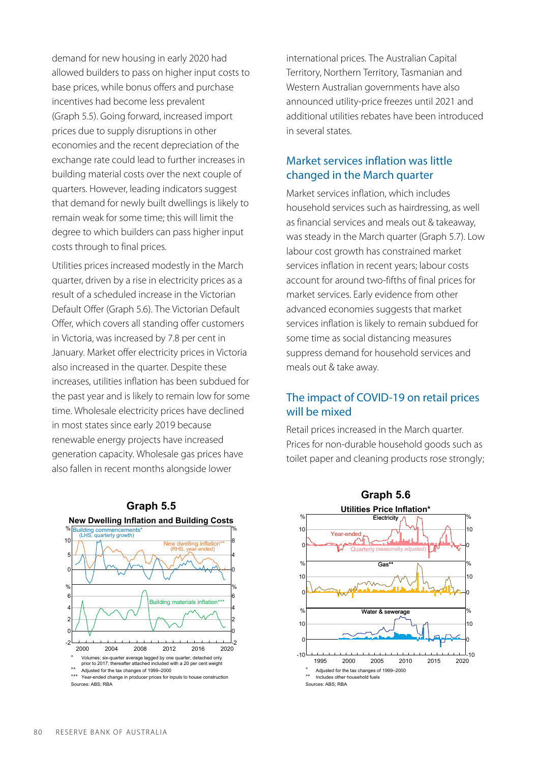demand for new housing in early 2020 had allowed builders to pass on higher input costs to base prices, while bonus offers and purchase incentives had become less prevalent (Graph 5.5). Going forward, increased import prices due to supply disruptions in other economies and the recent depreciation of the exchange rate could lead to further increases in building material costs over the next couple of quarters. However, leading indicators suggest that demand for newly built dwellings is likely to remain weak for some time; this will limit the degree to which builders can pass higher input costs through to final prices.

Utilities prices increased modestly in the March quarter, driven by a rise in electricity prices as a result of a scheduled increase in the Victorian Default Offer (Graph 5.6). The Victorian Default Offer, which covers all standing offer customers in Victoria, was increased by 7.8 per cent in January. Market offer electricity prices in Victoria also increased in the quarter. Despite these increases, utilities inflation has been subdued for the past year and is likely to remain low for some time. Wholesale electricity prices have declined in most states since early 2019 because renewable energy projects have increased generation capacity. Wholesale gas prices have also fallen in recent months alongside lower



international prices. The Australian Capital Territory, Northern Territory, Tasmanian and Western Australian governments have also announced utility-price freezes until 2021 and additional utilities rebates have been introduced in several states.

#### Market services inflation was little changed in the March quarter

Market services inflation, which includes household services such as hairdressing, as well as financial services and meals out & takeaway, was steady in the March quarter (Graph 5.7). Low labour cost growth has constrained market services inflation in recent years; labour costs account for around two-fifths of final prices for market services. Early evidence from other advanced economies suggests that market services inflation is likely to remain subdued for some time as social distancing measures suppress demand for household services and meals out & take away.

#### The impact of COVID-19 on retail prices will be mixed

Retail prices increased in the March quarter. Prices for non-durable household goods such as toilet paper and cleaning products rose strongly;

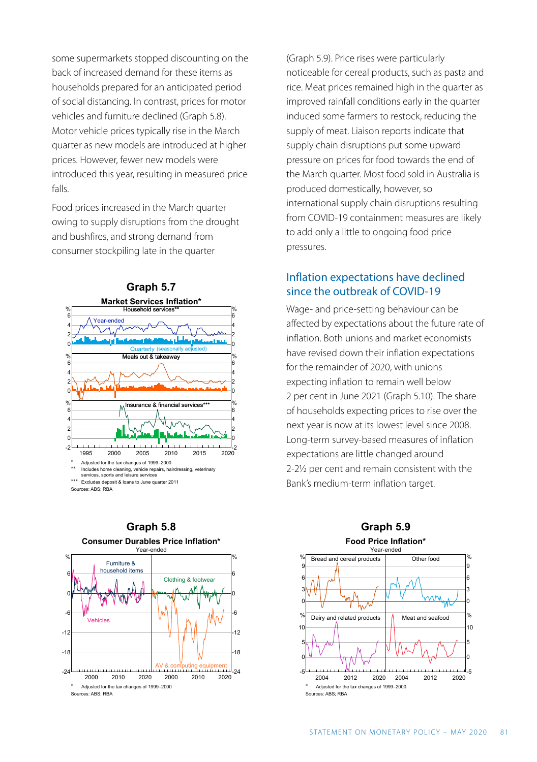some supermarkets stopped discounting on the back of increased demand for these items as households prepared for an anticipated period of social distancing. In contrast, prices for motor vehicles and furniture declined (Graph 5.8). Motor vehicle prices typically rise in the March quarter as new models are introduced at higher prices. However, fewer new models were introduced this year, resulting in measured price falls.

Food prices increased in the March quarter owing to supply disruptions from the drought and bushfires, and strong demand from consumer stockpiling late in the quarter





**Graph 5.8 Consumer Durables Price Inflation\*** (Graph 5.9). Price rises were particularly noticeable for cereal products, such as pasta and rice. Meat prices remained high in the quarter as improved rainfall conditions early in the quarter induced some farmers to restock, reducing the supply of meat. Liaison reports indicate that supply chain disruptions put some upward pressure on prices for food towards the end of the March quarter. Most food sold in Australia is produced domestically, however, so international supply chain disruptions resulting from COVID-19 containment measures are likely to add only a little to ongoing food price pressures.

#### Inflation expectations have declined since the outbreak of COVID-19

Wage- and price-setting behaviour can be affected by expectations about the future rate of inflation. Both unions and market economists have revised down their inflation expectations for the remainder of 2020, with unions expecting inflation to remain well below 2 per cent in June 2021 (Graph 5.10). The share of households expecting prices to rise over the next year is now at its lowest level since 2008. Long-term survey-based measures of inflation expectations are little changed around 2-2½ per cent and remain consistent with the Bank's medium-term inflation target.



### **Graph 5.9 Food Price Inflation\***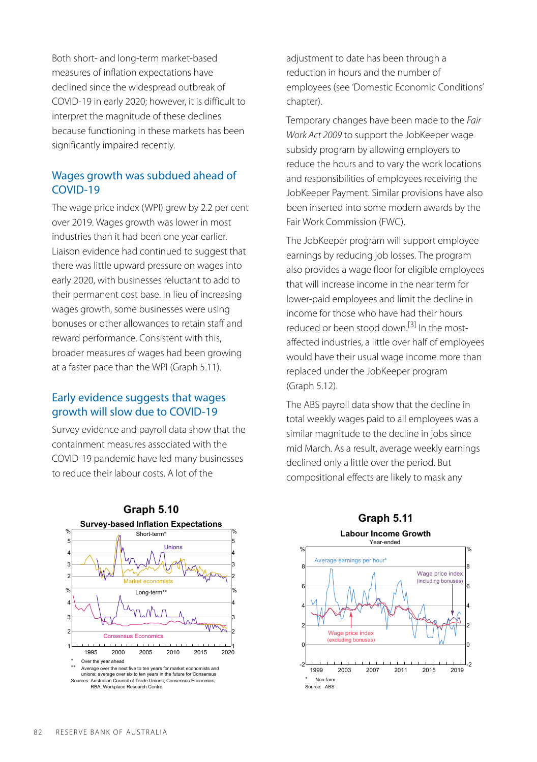Both short- and long-term market-based measures of inflation expectations have declined since the widespread outbreak of COVID-19 in early 2020; however, it is difficult to interpret the magnitude of these declines because functioning in these markets has been significantly impaired recently.

#### Wages growth was subdued ahead of COVID-19

The wage price index (WPI) grew by 2.2 per cent over 2019. Wages growth was lower in most industries than it had been one year earlier. Liaison evidence had continued to suggest that there was little upward pressure on wages into early 2020, with businesses reluctant to add to their permanent cost base. In lieu of increasing wages growth, some businesses were using bonuses or other allowances to retain staff and reward performance. Consistent with this, broader measures of wages had been growing at a faster pace than the WPI (Graph 5.11).

#### Early evidence suggests that wages growth will slow due to COVID-19

Survey evidence and payroll data show that the containment measures associated with the COVID-19 pandemic have led many businesses to reduce their labour costs. A lot of the



**Graph 5.10**  2 3 4 %<br>5 4 %

adjustment to date has been through a reduction in hours and the number of employees (see 'Domestic Economic Conditions' chapter).

Temporary changes have been made to the *Fair Work Act 2009* to support the JobKeeper wage subsidy program by allowing employers to reduce the hours and to vary the work locations and responsibilities of employees receiving the JobKeeper Payment. Similar provisions have also been inserted into some modern awards by the Fair Work Commission (FWC).

The JobKeeper program will support employee earnings by reducing job losses. The program also provides a wage floor for eligible employees that will increase income in the near term for lower-paid employees and limit the decline in income for those who have had their hours reduced or been stood down.<sup>[3]</sup> In the mostaffected industries, a little over half of employees would have their usual wage income more than replaced under the JobKeeper program (Graph 5.12).

The ABS payroll data show that the decline in total weekly wages paid to all employees was a similar magnitude to the decline in jobs since mid March. As a result, average weekly earnings declined only a little over the period. But compositional effects are likely to mask any



# **Graph 5.11**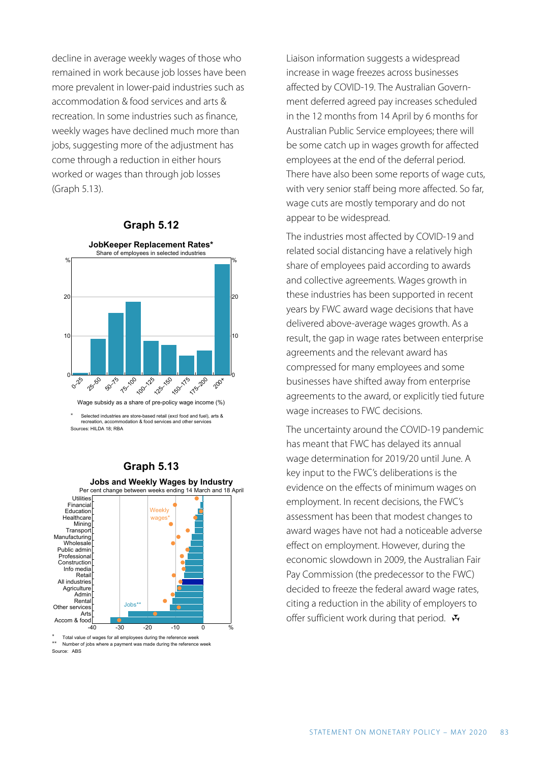decline in average weekly wages of those who remained in work because job losses have been more prevalent in lower-paid industries such as accommodation & food services and arts & recreation. In some industries such as finance, weekly wages have declined much more than jobs, suggesting more of the adjustment has come through a reduction in either hours worked or wages than through job losses (Graph 5.13).



\* Selected industries are store-based retail (excl food and fuel), arts & recreation, accommodation & food services and other services

Sources: HILDA 18; RBA

#### **Graph 5.13**



\* Total value of wages for all employees during the reference w Number of jobs where a payment was made during the reference w Source: ABS

Liaison information suggests a widespread increase in wage freezes across businesses affected by COVID-19. The Australian Government deferred agreed pay increases scheduled in the 12 months from 14 April by 6 months for Australian Public Service employees; there will be some catch up in wages growth for affected employees at the end of the deferral period. There have also been some reports of wage cuts, with very senior staff being more affected. So far, wage cuts are mostly temporary and do not appear to be widespread.

The industries most affected by COVID-19 and related social distancing have a relatively high share of employees paid according to awards and collective agreements. Wages growth in these industries has been supported in recent years by FWC award wage decisions that have delivered above-average wages growth. As a result, the gap in wage rates between enterprise agreements and the relevant award has compressed for many employees and some businesses have shifted away from enterprise agreements to the award, or explicitly tied future wage increases to FWC decisions.

The uncertainty around the COVID-19 pandemic has meant that FWC has delayed its annual wage determination for 2019/20 until June. A key input to the FWC's deliberations is the evidence on the effects of minimum wages on employment. In recent decisions, the FWC's assessment has been that modest changes to award wages have not had a noticeable adverse effect on employment. However, during the economic slowdown in 2009, the Australian Fair Pay Commission (the predecessor to the FWC) decided to freeze the federal award wage rates, citing a reduction in the ability of employers to offer sufficient work during that period.  $\mathbf{\ddot{H}}$